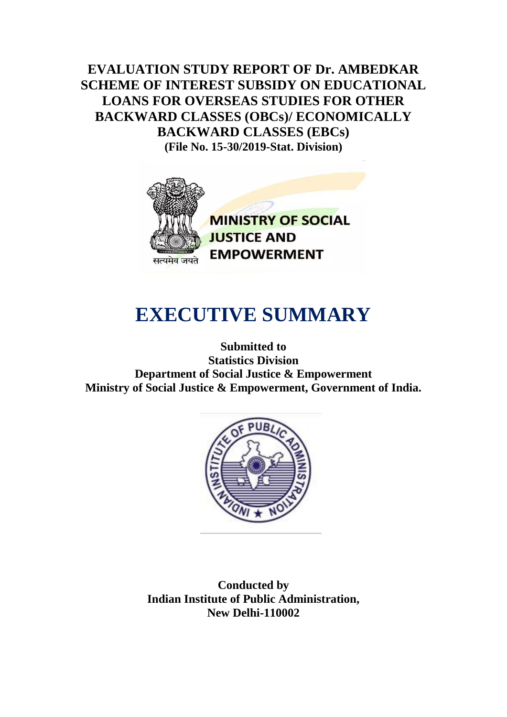**EVALUATION STUDY REPORT OF Dr. AMBEDKAR SCHEME OF INTEREST SUBSIDY ON EDUCATIONAL LOANS FOR OVERSEAS STUDIES FOR OTHER BACKWARD CLASSES (OBCs)/ ECONOMICALLY BACKWARD CLASSES (EBCs) (File No. 15-30/2019-Stat. Division)**



**MINISTRY OF SOCIAL JUSTICE AND EMPOWERMENT** 

## **EXECUTIVE SUMMARY**

**Submitted to Statistics Division Department of Social Justice & Empowerment Ministry of Social Justice & Empowerment, Government of India.**



**Conducted by Indian Institute of Public Administration, New Delhi-110002**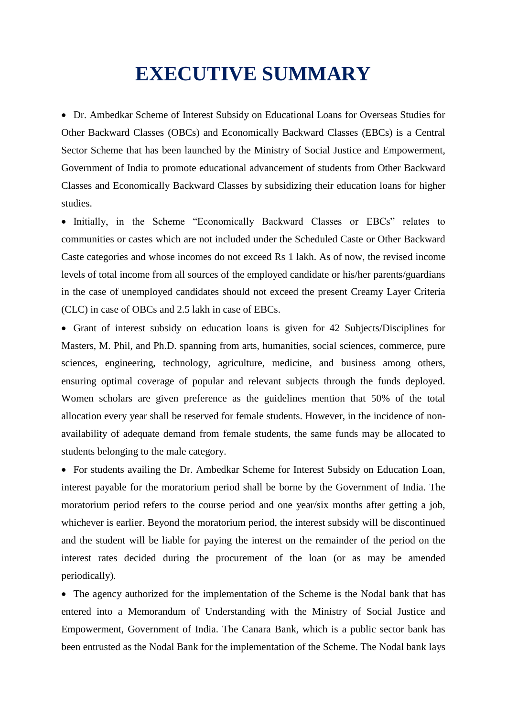## **EXECUTIVE SUMMARY**

 Dr. Ambedkar Scheme of Interest Subsidy on Educational Loans for Overseas Studies for Other Backward Classes (OBCs) and Economically Backward Classes (EBCs) is a Central Sector Scheme that has been launched by the Ministry of Social Justice and Empowerment, Government of India to promote educational advancement of students from Other Backward Classes and Economically Backward Classes by subsidizing their education loans for higher studies.

• Initially, in the Scheme "Economically Backward Classes or EBCs" relates to communities or castes which are not included under the Scheduled Caste or Other Backward Caste categories and whose incomes do not exceed Rs 1 lakh. As of now, the revised income levels of total income from all sources of the employed candidate or his/her parents/guardians in the case of unemployed candidates should not exceed the present Creamy Layer Criteria (CLC) in case of OBCs and 2.5 lakh in case of EBCs.

 Grant of interest subsidy on education loans is given for 42 Subjects/Disciplines for Masters, M. Phil, and Ph.D. spanning from arts, humanities, social sciences, commerce, pure sciences, engineering, technology, agriculture, medicine, and business among others, ensuring optimal coverage of popular and relevant subjects through the funds deployed. Women scholars are given preference as the guidelines mention that 50% of the total allocation every year shall be reserved for female students. However, in the incidence of nonavailability of adequate demand from female students, the same funds may be allocated to students belonging to the male category.

 For students availing the Dr. Ambedkar Scheme for Interest Subsidy on Education Loan, interest payable for the moratorium period shall be borne by the Government of India. The moratorium period refers to the course period and one year/six months after getting a job, whichever is earlier. Beyond the moratorium period, the interest subsidy will be discontinued and the student will be liable for paying the interest on the remainder of the period on the interest rates decided during the procurement of the loan (or as may be amended periodically).

• The agency authorized for the implementation of the Scheme is the Nodal bank that has entered into a Memorandum of Understanding with the Ministry of Social Justice and Empowerment, Government of India. The Canara Bank, which is a public sector bank has been entrusted as the Nodal Bank for the implementation of the Scheme. The Nodal bank lays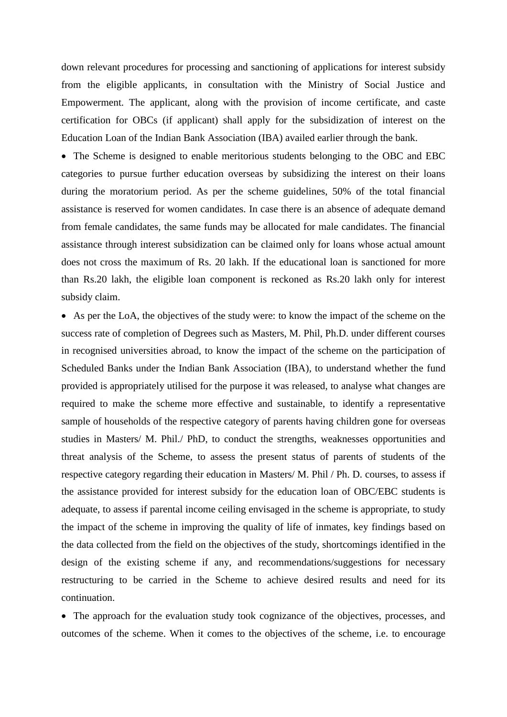down relevant procedures for processing and sanctioning of applications for interest subsidy from the eligible applicants, in consultation with the Ministry of Social Justice and Empowerment. The applicant, along with the provision of income certificate, and caste certification for OBCs (if applicant) shall apply for the subsidization of interest on the Education Loan of the Indian Bank Association (IBA) availed earlier through the bank.

 The Scheme is designed to enable meritorious students belonging to the OBC and EBC categories to pursue further education overseas by subsidizing the interest on their loans during the moratorium period. As per the scheme guidelines, 50% of the total financial assistance is reserved for women candidates. In case there is an absence of adequate demand from female candidates, the same funds may be allocated for male candidates. The financial assistance through interest subsidization can be claimed only for loans whose actual amount does not cross the maximum of Rs. 20 lakh. If the educational loan is sanctioned for more than Rs.20 lakh, the eligible loan component is reckoned as Rs.20 lakh only for interest subsidy claim.

 As per the LoA, the objectives of the study were: to know the impact of the scheme on the success rate of completion of Degrees such as Masters, M. Phil, Ph.D. under different courses in recognised universities abroad, to know the impact of the scheme on the participation of Scheduled Banks under the Indian Bank Association (IBA), to understand whether the fund provided is appropriately utilised for the purpose it was released, to analyse what changes are required to make the scheme more effective and sustainable, to identify a representative sample of households of the respective category of parents having children gone for overseas studies in Masters/ M. Phil./ PhD, to conduct the strengths, weaknesses opportunities and threat analysis of the Scheme, to assess the present status of parents of students of the respective category regarding their education in Masters/ M. Phil / Ph. D. courses, to assess if the assistance provided for interest subsidy for the education loan of OBC/EBC students is adequate, to assess if parental income ceiling envisaged in the scheme is appropriate, to study the impact of the scheme in improving the quality of life of inmates, key findings based on the data collected from the field on the objectives of the study, shortcomings identified in the design of the existing scheme if any, and recommendations/suggestions for necessary restructuring to be carried in the Scheme to achieve desired results and need for its continuation.

 The approach for the evaluation study took cognizance of the objectives, processes, and outcomes of the scheme. When it comes to the objectives of the scheme, i.e. to encourage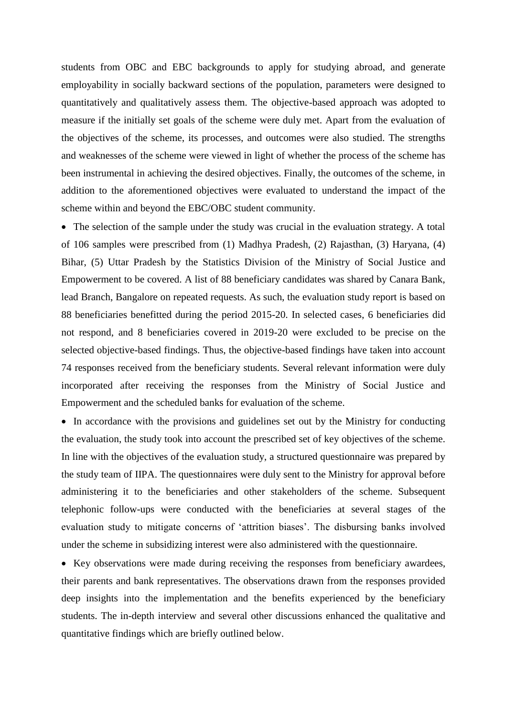students from OBC and EBC backgrounds to apply for studying abroad, and generate employability in socially backward sections of the population, parameters were designed to quantitatively and qualitatively assess them. The objective-based approach was adopted to measure if the initially set goals of the scheme were duly met. Apart from the evaluation of the objectives of the scheme, its processes, and outcomes were also studied. The strengths and weaknesses of the scheme were viewed in light of whether the process of the scheme has been instrumental in achieving the desired objectives. Finally, the outcomes of the scheme, in addition to the aforementioned objectives were evaluated to understand the impact of the scheme within and beyond the EBC/OBC student community.

• The selection of the sample under the study was crucial in the evaluation strategy. A total of 106 samples were prescribed from (1) Madhya Pradesh, (2) Rajasthan, (3) Haryana, (4) Bihar, (5) Uttar Pradesh by the Statistics Division of the Ministry of Social Justice and Empowerment to be covered. A list of 88 beneficiary candidates was shared by Canara Bank, lead Branch, Bangalore on repeated requests. As such, the evaluation study report is based on 88 beneficiaries benefitted during the period 2015-20. In selected cases, 6 beneficiaries did not respond, and 8 beneficiaries covered in 2019-20 were excluded to be precise on the selected objective-based findings. Thus, the objective-based findings have taken into account 74 responses received from the beneficiary students. Several relevant information were duly incorporated after receiving the responses from the Ministry of Social Justice and Empowerment and the scheduled banks for evaluation of the scheme.

• In accordance with the provisions and guidelines set out by the Ministry for conducting the evaluation, the study took into account the prescribed set of key objectives of the scheme. In line with the objectives of the evaluation study, a structured questionnaire was prepared by the study team of IIPA. The questionnaires were duly sent to the Ministry for approval before administering it to the beneficiaries and other stakeholders of the scheme. Subsequent telephonic follow-ups were conducted with the beneficiaries at several stages of the evaluation study to mitigate concerns of 'attrition biases'. The disbursing banks involved under the scheme in subsidizing interest were also administered with the questionnaire.

• Key observations were made during receiving the responses from beneficiary awardees, their parents and bank representatives. The observations drawn from the responses provided deep insights into the implementation and the benefits experienced by the beneficiary students. The in-depth interview and several other discussions enhanced the qualitative and quantitative findings which are briefly outlined below.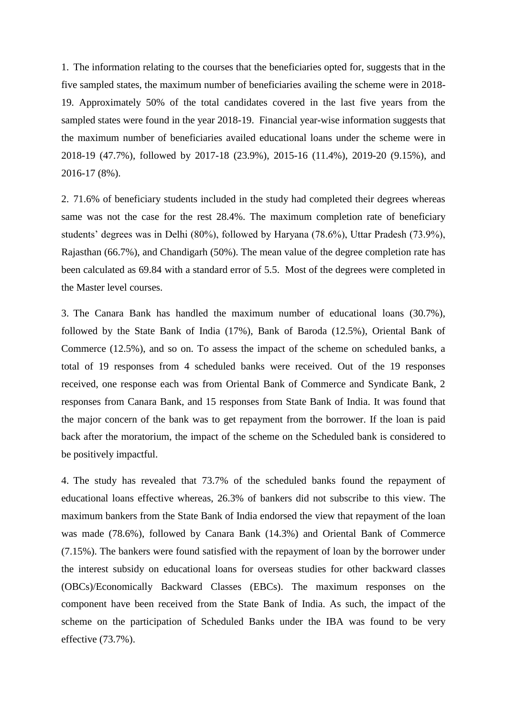1. The information relating to the courses that the beneficiaries opted for, suggests that in the five sampled states, the maximum number of beneficiaries availing the scheme were in 2018- 19. Approximately 50% of the total candidates covered in the last five years from the sampled states were found in the year 2018-19. Financial year-wise information suggests that the maximum number of beneficiaries availed educational loans under the scheme were in 2018-19 (47.7%), followed by 2017-18 (23.9%), 2015-16 (11.4%), 2019-20 (9.15%), and 2016-17 (8%).

2. 71.6% of beneficiary students included in the study had completed their degrees whereas same was not the case for the rest 28.4%. The maximum completion rate of beneficiary students' degrees was in Delhi (80%), followed by Haryana (78.6%), Uttar Pradesh (73.9%), Rajasthan (66.7%), and Chandigarh (50%). The mean value of the degree completion rate has been calculated as 69.84 with a standard error of 5.5. Most of the degrees were completed in the Master level courses.

3. The Canara Bank has handled the maximum number of educational loans (30.7%), followed by the State Bank of India (17%), Bank of Baroda (12.5%), Oriental Bank of Commerce (12.5%), and so on. To assess the impact of the scheme on scheduled banks, a total of 19 responses from 4 scheduled banks were received. Out of the 19 responses received, one response each was from Oriental Bank of Commerce and Syndicate Bank, 2 responses from Canara Bank, and 15 responses from State Bank of India. It was found that the major concern of the bank was to get repayment from the borrower. If the loan is paid back after the moratorium, the impact of the scheme on the Scheduled bank is considered to be positively impactful.

4. The study has revealed that 73.7% of the scheduled banks found the repayment of educational loans effective whereas, 26.3% of bankers did not subscribe to this view. The maximum bankers from the State Bank of India endorsed the view that repayment of the loan was made (78.6%), followed by Canara Bank (14.3%) and Oriental Bank of Commerce (7.15%). The bankers were found satisfied with the repayment of loan by the borrower under the interest subsidy on educational loans for overseas studies for other backward classes (OBCs)/Economically Backward Classes (EBCs). The maximum responses on the component have been received from the State Bank of India. As such, the impact of the scheme on the participation of Scheduled Banks under the IBA was found to be very effective (73.7%).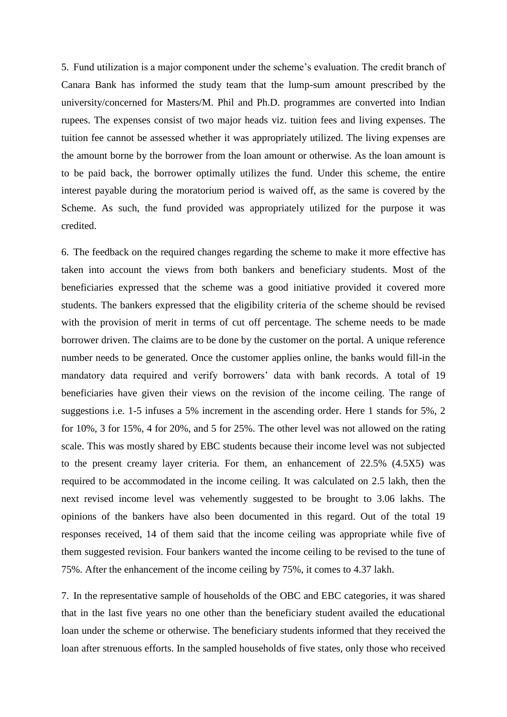5. Fund utilization is a major component under the scheme's evaluation. The credit branch of Canara Bank has informed the study team that the lump-sum amount prescribed by the university/concerned for Masters/M. Phil and Ph.D. programmes are converted into Indian rupees. The expenses consist of two major heads viz. tuition fees and living expenses. The tuition fee cannot be assessed whether it was appropriately utilized. The living expenses are the amount borne by the borrower from the loan amount or otherwise. As the loan amount is to be paid back, the borrower optimally utilizes the fund. Under this scheme, the entire interest payable during the moratorium period is waived off, as the same is covered by the Scheme. As such, the fund provided was appropriately utilized for the purpose it was credited.

6. The feedback on the required changes regarding the scheme to make it more effective has taken into account the views from both bankers and beneficiary students. Most of the beneficiaries expressed that the scheme was a good initiative provided it covered more students. The bankers expressed that the eligibility criteria of the scheme should be revised with the provision of merit in terms of cut off percentage. The scheme needs to be made borrower driven. The claims are to be done by the customer on the portal. A unique reference number needs to be generated. Once the customer applies online, the banks would fill-in the mandatory data required and verify borrowers' data with bank records. A total of 19 beneficiaries have given their views on the revision of the income ceiling. The range of suggestions i.e. 1-5 infuses a 5% increment in the ascending order. Here 1 stands for 5%, 2 for 10%, 3 for 15%, 4 for 20%, and 5 for 25%. The other level was not allowed on the rating scale. This was mostly shared by EBC students because their income level was not subjected to the present creamy layer criteria. For them, an enhancement of 22.5% (4.5X5) was required to be accommodated in the income ceiling. It was calculated on 2.5 lakh, then the next revised income level was vehemently suggested to be brought to 3.06 lakhs. The opinions of the bankers have also been documented in this regard. Out of the total 19 responses received, 14 of them said that the income ceiling was appropriate while five of them suggested revision. Four bankers wanted the income ceiling to be revised to the tune of 75%. After the enhancement of the income ceiling by 75%, it comes to 4.37 lakh.

7. In the representative sample of households of the OBC and EBC categories, it was shared that in the last five years no one other than the beneficiary student availed the educational loan under the scheme or otherwise. The beneficiary students informed that they received the loan after strenuous efforts. In the sampled households of five states, only those who received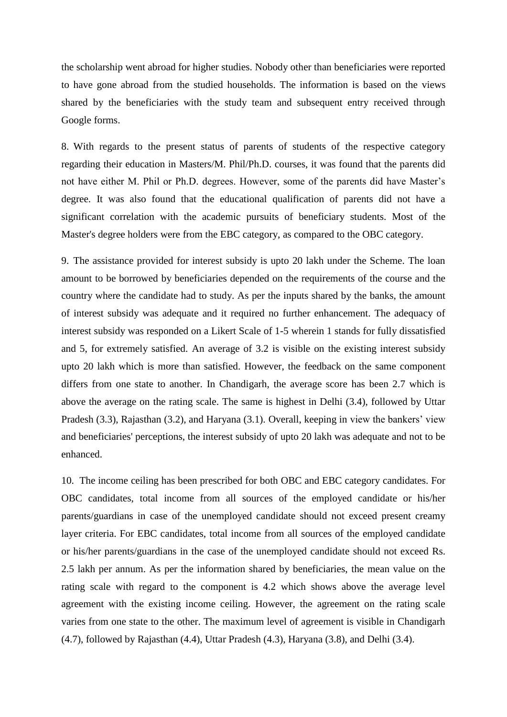the scholarship went abroad for higher studies. Nobody other than beneficiaries were reported to have gone abroad from the studied households. The information is based on the views shared by the beneficiaries with the study team and subsequent entry received through Google forms.

8. With regards to the present status of parents of students of the respective category regarding their education in Masters/M. Phil/Ph.D. courses, it was found that the parents did not have either M. Phil or Ph.D. degrees. However, some of the parents did have Master's degree. It was also found that the educational qualification of parents did not have a significant correlation with the academic pursuits of beneficiary students. Most of the Master's degree holders were from the EBC category, as compared to the OBC category.

9. The assistance provided for interest subsidy is upto 20 lakh under the Scheme. The loan amount to be borrowed by beneficiaries depended on the requirements of the course and the country where the candidate had to study. As per the inputs shared by the banks, the amount of interest subsidy was adequate and it required no further enhancement. The adequacy of interest subsidy was responded on a Likert Scale of 1-5 wherein 1 stands for fully dissatisfied and 5, for extremely satisfied. An average of 3.2 is visible on the existing interest subsidy upto 20 lakh which is more than satisfied. However, the feedback on the same component differs from one state to another. In Chandigarh, the average score has been 2.7 which is above the average on the rating scale. The same is highest in Delhi (3.4), followed by Uttar Pradesh (3.3), Rajasthan (3.2), and Haryana (3.1). Overall, keeping in view the bankers' view and beneficiaries' perceptions, the interest subsidy of upto 20 lakh was adequate and not to be enhanced.

10. The income ceiling has been prescribed for both OBC and EBC category candidates. For OBC candidates, total income from all sources of the employed candidate or his/her parents/guardians in case of the unemployed candidate should not exceed present creamy layer criteria. For EBC candidates, total income from all sources of the employed candidate or his/her parents/guardians in the case of the unemployed candidate should not exceed Rs. 2.5 lakh per annum. As per the information shared by beneficiaries, the mean value on the rating scale with regard to the component is 4.2 which shows above the average level agreement with the existing income ceiling. However, the agreement on the rating scale varies from one state to the other. The maximum level of agreement is visible in Chandigarh (4.7), followed by Rajasthan (4.4), Uttar Pradesh (4.3), Haryana (3.8), and Delhi (3.4).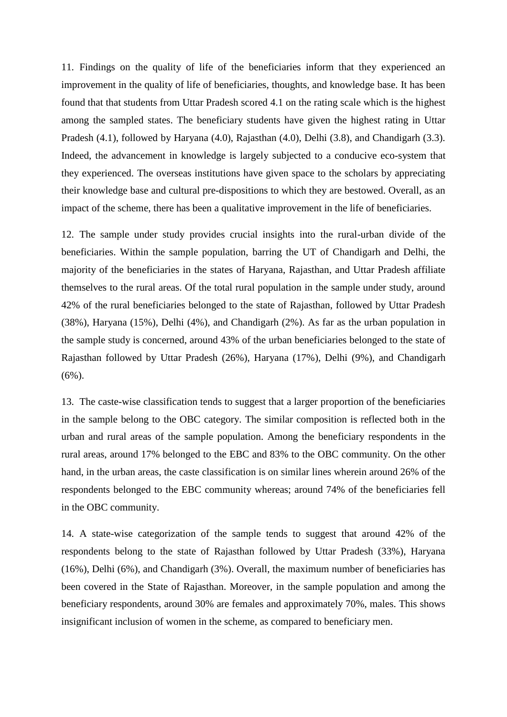11. Findings on the quality of life of the beneficiaries inform that they experienced an improvement in the quality of life of beneficiaries, thoughts, and knowledge base. It has been found that that students from Uttar Pradesh scored 4.1 on the rating scale which is the highest among the sampled states. The beneficiary students have given the highest rating in Uttar Pradesh (4.1), followed by Haryana (4.0), Rajasthan (4.0), Delhi (3.8), and Chandigarh (3.3). Indeed, the advancement in knowledge is largely subjected to a conducive eco-system that they experienced. The overseas institutions have given space to the scholars by appreciating their knowledge base and cultural pre-dispositions to which they are bestowed. Overall, as an impact of the scheme, there has been a qualitative improvement in the life of beneficiaries.

12. The sample under study provides crucial insights into the rural-urban divide of the beneficiaries. Within the sample population, barring the UT of Chandigarh and Delhi, the majority of the beneficiaries in the states of Haryana, Rajasthan, and Uttar Pradesh affiliate themselves to the rural areas. Of the total rural population in the sample under study, around 42% of the rural beneficiaries belonged to the state of Rajasthan, followed by Uttar Pradesh (38%), Haryana (15%), Delhi (4%), and Chandigarh (2%). As far as the urban population in the sample study is concerned, around 43% of the urban beneficiaries belonged to the state of Rajasthan followed by Uttar Pradesh (26%), Haryana (17%), Delhi (9%), and Chandigarh  $(6\%)$ .

13. The caste-wise classification tends to suggest that a larger proportion of the beneficiaries in the sample belong to the OBC category. The similar composition is reflected both in the urban and rural areas of the sample population. Among the beneficiary respondents in the rural areas, around 17% belonged to the EBC and 83% to the OBC community. On the other hand, in the urban areas, the caste classification is on similar lines wherein around 26% of the respondents belonged to the EBC community whereas; around 74% of the beneficiaries fell in the OBC community.

14. A state-wise categorization of the sample tends to suggest that around 42% of the respondents belong to the state of Rajasthan followed by Uttar Pradesh (33%), Haryana (16%), Delhi (6%), and Chandigarh (3%). Overall, the maximum number of beneficiaries has been covered in the State of Rajasthan. Moreover, in the sample population and among the beneficiary respondents, around 30% are females and approximately 70%, males. This shows insignificant inclusion of women in the scheme, as compared to beneficiary men.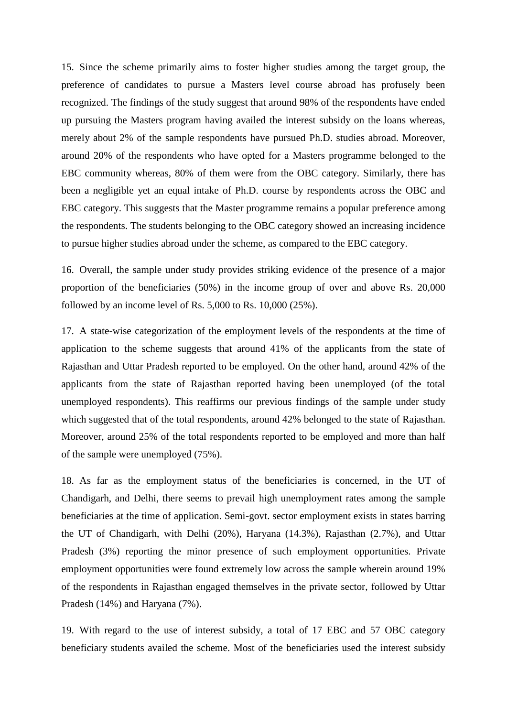15. Since the scheme primarily aims to foster higher studies among the target group, the preference of candidates to pursue a Masters level course abroad has profusely been recognized. The findings of the study suggest that around 98% of the respondents have ended up pursuing the Masters program having availed the interest subsidy on the loans whereas, merely about 2% of the sample respondents have pursued Ph.D. studies abroad. Moreover, around 20% of the respondents who have opted for a Masters programme belonged to the EBC community whereas, 80% of them were from the OBC category. Similarly, there has been a negligible yet an equal intake of Ph.D. course by respondents across the OBC and EBC category. This suggests that the Master programme remains a popular preference among the respondents. The students belonging to the OBC category showed an increasing incidence to pursue higher studies abroad under the scheme, as compared to the EBC category.

16. Overall, the sample under study provides striking evidence of the presence of a major proportion of the beneficiaries (50%) in the income group of over and above Rs. 20,000 followed by an income level of Rs. 5,000 to Rs. 10,000 (25%).

17. A state-wise categorization of the employment levels of the respondents at the time of application to the scheme suggests that around 41% of the applicants from the state of Rajasthan and Uttar Pradesh reported to be employed. On the other hand, around 42% of the applicants from the state of Rajasthan reported having been unemployed (of the total unemployed respondents). This reaffirms our previous findings of the sample under study which suggested that of the total respondents, around 42% belonged to the state of Rajasthan. Moreover, around 25% of the total respondents reported to be employed and more than half of the sample were unemployed (75%).

18. As far as the employment status of the beneficiaries is concerned, in the UT of Chandigarh, and Delhi, there seems to prevail high unemployment rates among the sample beneficiaries at the time of application. Semi-govt. sector employment exists in states barring the UT of Chandigarh, with Delhi (20%), Haryana (14.3%), Rajasthan (2.7%), and Uttar Pradesh (3%) reporting the minor presence of such employment opportunities. Private employment opportunities were found extremely low across the sample wherein around 19% of the respondents in Rajasthan engaged themselves in the private sector, followed by Uttar Pradesh (14%) and Haryana (7%).

19. With regard to the use of interest subsidy, a total of 17 EBC and 57 OBC category beneficiary students availed the scheme. Most of the beneficiaries used the interest subsidy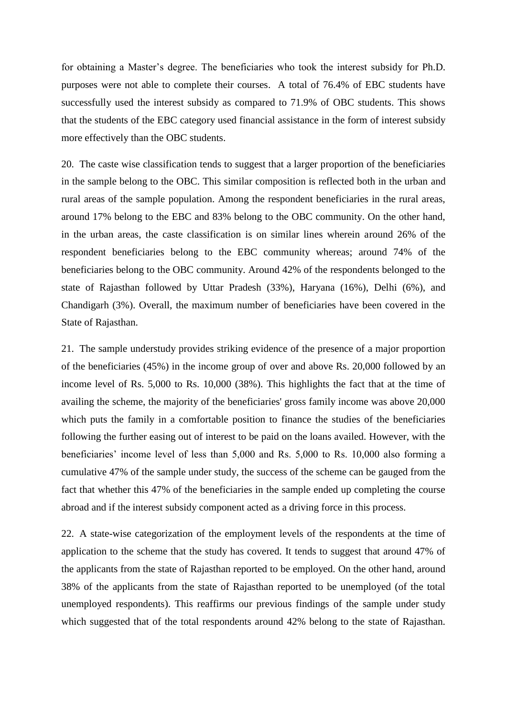for obtaining a Master's degree. The beneficiaries who took the interest subsidy for Ph.D. purposes were not able to complete their courses. A total of 76.4% of EBC students have successfully used the interest subsidy as compared to 71.9% of OBC students. This shows that the students of the EBC category used financial assistance in the form of interest subsidy more effectively than the OBC students.

20. The caste wise classification tends to suggest that a larger proportion of the beneficiaries in the sample belong to the OBC. This similar composition is reflected both in the urban and rural areas of the sample population. Among the respondent beneficiaries in the rural areas, around 17% belong to the EBC and 83% belong to the OBC community. On the other hand, in the urban areas, the caste classification is on similar lines wherein around 26% of the respondent beneficiaries belong to the EBC community whereas; around 74% of the beneficiaries belong to the OBC community. Around 42% of the respondents belonged to the state of Rajasthan followed by Uttar Pradesh (33%), Haryana (16%), Delhi (6%), and Chandigarh (3%). Overall, the maximum number of beneficiaries have been covered in the State of Rajasthan.

21. The sample understudy provides striking evidence of the presence of a major proportion of the beneficiaries (45%) in the income group of over and above Rs. 20,000 followed by an income level of Rs. 5,000 to Rs. 10,000 (38%). This highlights the fact that at the time of availing the scheme, the majority of the beneficiaries' gross family income was above 20,000 which puts the family in a comfortable position to finance the studies of the beneficiaries following the further easing out of interest to be paid on the loans availed. However, with the beneficiaries' income level of less than 5,000 and Rs. 5,000 to Rs. 10,000 also forming a cumulative 47% of the sample under study, the success of the scheme can be gauged from the fact that whether this 47% of the beneficiaries in the sample ended up completing the course abroad and if the interest subsidy component acted as a driving force in this process.

22. A state-wise categorization of the employment levels of the respondents at the time of application to the scheme that the study has covered. It tends to suggest that around 47% of the applicants from the state of Rajasthan reported to be employed. On the other hand, around 38% of the applicants from the state of Rajasthan reported to be unemployed (of the total unemployed respondents). This reaffirms our previous findings of the sample under study which suggested that of the total respondents around 42% belong to the state of Rajasthan.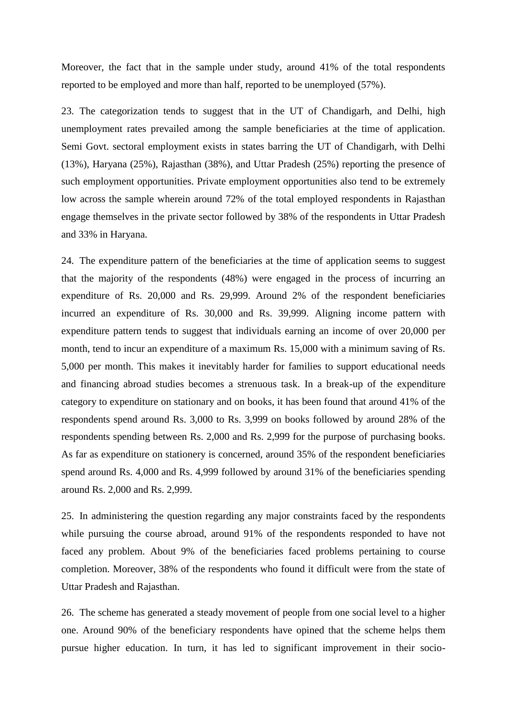Moreover, the fact that in the sample under study, around 41% of the total respondents reported to be employed and more than half, reported to be unemployed (57%).

23. The categorization tends to suggest that in the UT of Chandigarh, and Delhi, high unemployment rates prevailed among the sample beneficiaries at the time of application. Semi Govt. sectoral employment exists in states barring the UT of Chandigarh, with Delhi (13%), Haryana (25%), Rajasthan (38%), and Uttar Pradesh (25%) reporting the presence of such employment opportunities. Private employment opportunities also tend to be extremely low across the sample wherein around 72% of the total employed respondents in Rajasthan engage themselves in the private sector followed by 38% of the respondents in Uttar Pradesh and 33% in Haryana.

24. The expenditure pattern of the beneficiaries at the time of application seems to suggest that the majority of the respondents (48%) were engaged in the process of incurring an expenditure of Rs. 20,000 and Rs. 29,999. Around 2% of the respondent beneficiaries incurred an expenditure of Rs. 30,000 and Rs. 39,999. Aligning income pattern with expenditure pattern tends to suggest that individuals earning an income of over 20,000 per month, tend to incur an expenditure of a maximum Rs. 15,000 with a minimum saving of Rs. 5,000 per month. This makes it inevitably harder for families to support educational needs and financing abroad studies becomes a strenuous task. In a break-up of the expenditure category to expenditure on stationary and on books, it has been found that around 41% of the respondents spend around Rs. 3,000 to Rs. 3,999 on books followed by around 28% of the respondents spending between Rs. 2,000 and Rs. 2,999 for the purpose of purchasing books. As far as expenditure on stationery is concerned, around 35% of the respondent beneficiaries spend around Rs. 4,000 and Rs. 4,999 followed by around 31% of the beneficiaries spending around Rs. 2,000 and Rs. 2,999.

25. In administering the question regarding any major constraints faced by the respondents while pursuing the course abroad, around 91% of the respondents responded to have not faced any problem. About 9% of the beneficiaries faced problems pertaining to course completion. Moreover, 38% of the respondents who found it difficult were from the state of Uttar Pradesh and Rajasthan.

26. The scheme has generated a steady movement of people from one social level to a higher one. Around 90% of the beneficiary respondents have opined that the scheme helps them pursue higher education. In turn, it has led to significant improvement in their socio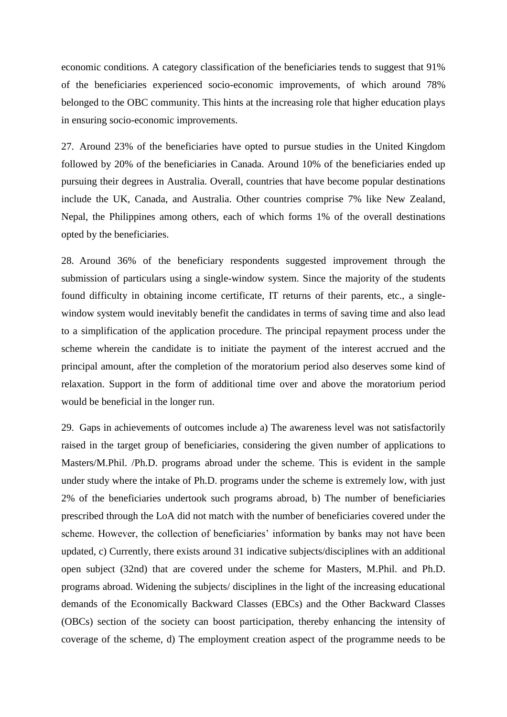economic conditions. A category classification of the beneficiaries tends to suggest that 91% of the beneficiaries experienced socio-economic improvements, of which around 78% belonged to the OBC community. This hints at the increasing role that higher education plays in ensuring socio-economic improvements.

27. Around 23% of the beneficiaries have opted to pursue studies in the United Kingdom followed by 20% of the beneficiaries in Canada. Around 10% of the beneficiaries ended up pursuing their degrees in Australia. Overall, countries that have become popular destinations include the UK, Canada, and Australia. Other countries comprise 7% like New Zealand, Nepal, the Philippines among others, each of which forms 1% of the overall destinations opted by the beneficiaries.

28. Around 36% of the beneficiary respondents suggested improvement through the submission of particulars using a single-window system. Since the majority of the students found difficulty in obtaining income certificate, IT returns of their parents, etc., a singlewindow system would inevitably benefit the candidates in terms of saving time and also lead to a simplification of the application procedure. The principal repayment process under the scheme wherein the candidate is to initiate the payment of the interest accrued and the principal amount, after the completion of the moratorium period also deserves some kind of relaxation. Support in the form of additional time over and above the moratorium period would be beneficial in the longer run.

29. Gaps in achievements of outcomes include a) The awareness level was not satisfactorily raised in the target group of beneficiaries, considering the given number of applications to Masters/M.Phil. /Ph.D. programs abroad under the scheme. This is evident in the sample under study where the intake of Ph.D. programs under the scheme is extremely low, with just 2% of the beneficiaries undertook such programs abroad, b) The number of beneficiaries prescribed through the LoA did not match with the number of beneficiaries covered under the scheme. However, the collection of beneficiaries' information by banks may not have been updated, c) Currently, there exists around 31 indicative subjects/disciplines with an additional open subject (32nd) that are covered under the scheme for Masters, M.Phil. and Ph.D. programs abroad. Widening the subjects/ disciplines in the light of the increasing educational demands of the Economically Backward Classes (EBCs) and the Other Backward Classes (OBCs) section of the society can boost participation, thereby enhancing the intensity of coverage of the scheme, d) The employment creation aspect of the programme needs to be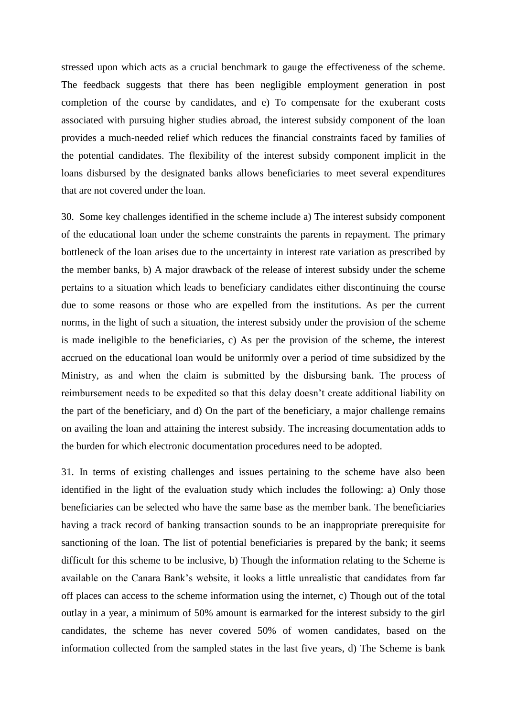stressed upon which acts as a crucial benchmark to gauge the effectiveness of the scheme. The feedback suggests that there has been negligible employment generation in post completion of the course by candidates, and e) To compensate for the exuberant costs associated with pursuing higher studies abroad, the interest subsidy component of the loan provides a much-needed relief which reduces the financial constraints faced by families of the potential candidates. The flexibility of the interest subsidy component implicit in the loans disbursed by the designated banks allows beneficiaries to meet several expenditures that are not covered under the loan.

30. Some key challenges identified in the scheme include a) The interest subsidy component of the educational loan under the scheme constraints the parents in repayment. The primary bottleneck of the loan arises due to the uncertainty in interest rate variation as prescribed by the member banks, b) A major drawback of the release of interest subsidy under the scheme pertains to a situation which leads to beneficiary candidates either discontinuing the course due to some reasons or those who are expelled from the institutions. As per the current norms, in the light of such a situation, the interest subsidy under the provision of the scheme is made ineligible to the beneficiaries, c) As per the provision of the scheme, the interest accrued on the educational loan would be uniformly over a period of time subsidized by the Ministry, as and when the claim is submitted by the disbursing bank. The process of reimbursement needs to be expedited so that this delay doesn't create additional liability on the part of the beneficiary, and d) On the part of the beneficiary, a major challenge remains on availing the loan and attaining the interest subsidy. The increasing documentation adds to the burden for which electronic documentation procedures need to be adopted.

31. In terms of existing challenges and issues pertaining to the scheme have also been identified in the light of the evaluation study which includes the following: a) Only those beneficiaries can be selected who have the same base as the member bank. The beneficiaries having a track record of banking transaction sounds to be an inappropriate prerequisite for sanctioning of the loan. The list of potential beneficiaries is prepared by the bank; it seems difficult for this scheme to be inclusive, b) Though the information relating to the Scheme is available on the Canara Bank's website, it looks a little unrealistic that candidates from far off places can access to the scheme information using the internet, c) Though out of the total outlay in a year, a minimum of 50% amount is earmarked for the interest subsidy to the girl candidates, the scheme has never covered 50% of women candidates, based on the information collected from the sampled states in the last five years, d) The Scheme is bank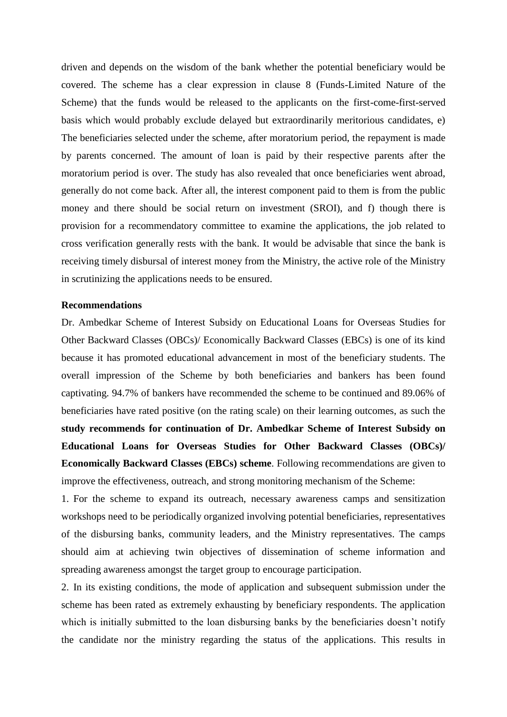driven and depends on the wisdom of the bank whether the potential beneficiary would be covered. The scheme has a clear expression in clause 8 (Funds-Limited Nature of the Scheme) that the funds would be released to the applicants on the first-come-first-served basis which would probably exclude delayed but extraordinarily meritorious candidates, e) The beneficiaries selected under the scheme, after moratorium period, the repayment is made by parents concerned. The amount of loan is paid by their respective parents after the moratorium period is over. The study has also revealed that once beneficiaries went abroad, generally do not come back. After all, the interest component paid to them is from the public money and there should be social return on investment (SROI), and f) though there is provision for a recommendatory committee to examine the applications, the job related to cross verification generally rests with the bank. It would be advisable that since the bank is receiving timely disbursal of interest money from the Ministry, the active role of the Ministry in scrutinizing the applications needs to be ensured.

## **Recommendations**

Dr. Ambedkar Scheme of Interest Subsidy on Educational Loans for Overseas Studies for Other Backward Classes (OBCs)/ Economically Backward Classes (EBCs) is one of its kind because it has promoted educational advancement in most of the beneficiary students. The overall impression of the Scheme by both beneficiaries and bankers has been found captivating. 94.7% of bankers have recommended the scheme to be continued and 89.06% of beneficiaries have rated positive (on the rating scale) on their learning outcomes, as such the **study recommends for continuation of Dr. Ambedkar Scheme of Interest Subsidy on Educational Loans for Overseas Studies for Other Backward Classes (OBCs)/ Economically Backward Classes (EBCs) scheme**. Following recommendations are given to improve the effectiveness, outreach, and strong monitoring mechanism of the Scheme:

1. For the scheme to expand its outreach, necessary awareness camps and sensitization workshops need to be periodically organized involving potential beneficiaries, representatives of the disbursing banks, community leaders, and the Ministry representatives. The camps should aim at achieving twin objectives of dissemination of scheme information and spreading awareness amongst the target group to encourage participation.

2. In its existing conditions, the mode of application and subsequent submission under the scheme has been rated as extremely exhausting by beneficiary respondents. The application which is initially submitted to the loan disbursing banks by the beneficiaries doesn't notify the candidate nor the ministry regarding the status of the applications. This results in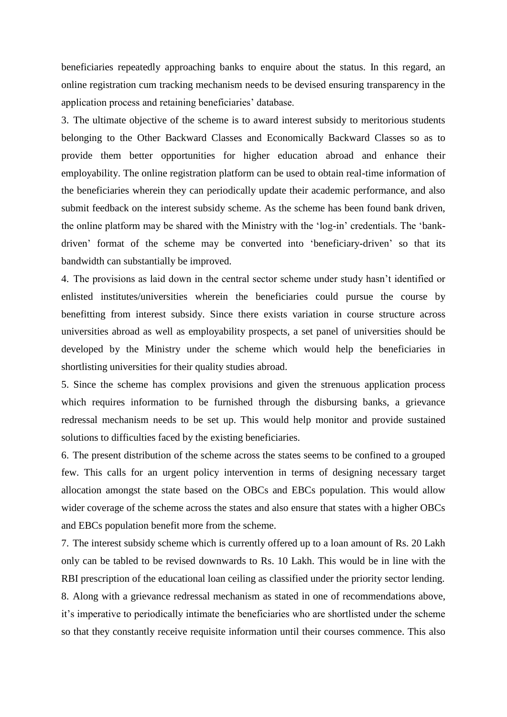beneficiaries repeatedly approaching banks to enquire about the status. In this regard, an online registration cum tracking mechanism needs to be devised ensuring transparency in the application process and retaining beneficiaries' database.

3. The ultimate objective of the scheme is to award interest subsidy to meritorious students belonging to the Other Backward Classes and Economically Backward Classes so as to provide them better opportunities for higher education abroad and enhance their employability. The online registration platform can be used to obtain real-time information of the beneficiaries wherein they can periodically update their academic performance, and also submit feedback on the interest subsidy scheme. As the scheme has been found bank driven, the online platform may be shared with the Ministry with the 'log-in' credentials. The 'bankdriven' format of the scheme may be converted into 'beneficiary-driven' so that its bandwidth can substantially be improved.

4. The provisions as laid down in the central sector scheme under study hasn't identified or enlisted institutes/universities wherein the beneficiaries could pursue the course by benefitting from interest subsidy. Since there exists variation in course structure across universities abroad as well as employability prospects, a set panel of universities should be developed by the Ministry under the scheme which would help the beneficiaries in shortlisting universities for their quality studies abroad.

5. Since the scheme has complex provisions and given the strenuous application process which requires information to be furnished through the disbursing banks, a grievance redressal mechanism needs to be set up. This would help monitor and provide sustained solutions to difficulties faced by the existing beneficiaries.

6. The present distribution of the scheme across the states seems to be confined to a grouped few. This calls for an urgent policy intervention in terms of designing necessary target allocation amongst the state based on the OBCs and EBCs population. This would allow wider coverage of the scheme across the states and also ensure that states with a higher OBCs and EBCs population benefit more from the scheme.

7. The interest subsidy scheme which is currently offered up to a loan amount of Rs. 20 Lakh only can be tabled to be revised downwards to Rs. 10 Lakh. This would be in line with the RBI prescription of the educational loan ceiling as classified under the priority sector lending.

8. Along with a grievance redressal mechanism as stated in one of recommendations above, it's imperative to periodically intimate the beneficiaries who are shortlisted under the scheme so that they constantly receive requisite information until their courses commence. This also